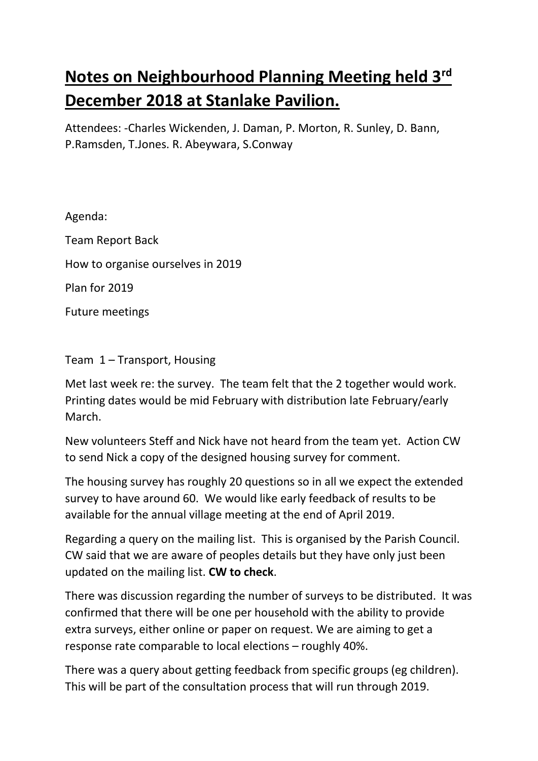## **Notes on Neighbourhood Planning Meeting held 3rd December 2018 at Stanlake Pavilion.**

Attendees: -Charles Wickenden, J. Daman, P. Morton, R. Sunley, D. Bann, P.Ramsden, T.Jones. R. Abeywara, S.Conway

Agenda:

Team Report Back How to organise ourselves in 2019 Plan for 2019 Future meetings

Team 1 – Transport, Housing

Met last week re: the survey. The team felt that the 2 together would work. Printing dates would be mid February with distribution late February/early March.

New volunteers Steff and Nick have not heard from the team yet. Action CW to send Nick a copy of the designed housing survey for comment.

The housing survey has roughly 20 questions so in all we expect the extended survey to have around 60. We would like early feedback of results to be available for the annual village meeting at the end of April 2019.

Regarding a query on the mailing list. This is organised by the Parish Council. CW said that we are aware of peoples details but they have only just been updated on the mailing list. **CW to check**.

There was discussion regarding the number of surveys to be distributed. It was confirmed that there will be one per household with the ability to provide extra surveys, either online or paper on request. We are aiming to get a response rate comparable to local elections – roughly 40%.

There was a query about getting feedback from specific groups (eg children). This will be part of the consultation process that will run through 2019.